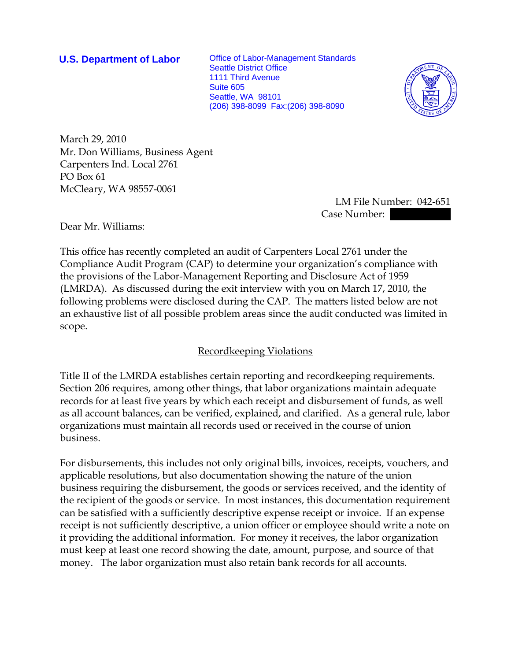**U.S. Department of Labor** Office of Labor-Management Standards Seattle District Office 1111 Third Avenue Suite 605 Seattle, WA 98101 (206) 398-8099 Fax:(206) 398-8090



March 29, 2010 Mr. Don Williams, Business Agent Carpenters Ind. Local 2761 PO Box 61 McCleary, WA 98557-0061

 LM File Number: 042-651 Case Number:

Dear Mr. Williams:

This office has recently completed an audit of Carpenters Local 2761 under the Compliance Audit Program (CAP) to determine your organization's compliance with the provisions of the Labor-Management Reporting and Disclosure Act of 1959 (LMRDA). As discussed during the exit interview with you on March 17, 2010, the following problems were disclosed during the CAP. The matters listed below are not an exhaustive list of all possible problem areas since the audit conducted was limited in scope.

# Recordkeeping Violations

Title II of the LMRDA establishes certain reporting and recordkeeping requirements. Section 206 requires, among other things, that labor organizations maintain adequate records for at least five years by which each receipt and disbursement of funds, as well as all account balances, can be verified, explained, and clarified. As a general rule, labor organizations must maintain all records used or received in the course of union business.

For disbursements, this includes not only original bills, invoices, receipts, vouchers, and applicable resolutions, but also documentation showing the nature of the union business requiring the disbursement, the goods or services received, and the identity of the recipient of the goods or service. In most instances, this documentation requirement can be satisfied with a sufficiently descriptive expense receipt or invoice. If an expense receipt is not sufficiently descriptive, a union officer or employee should write a note on it providing the additional information. For money it receives, the labor organization must keep at least one record showing the date, amount, purpose, and source of that money. The labor organization must also retain bank records for all accounts.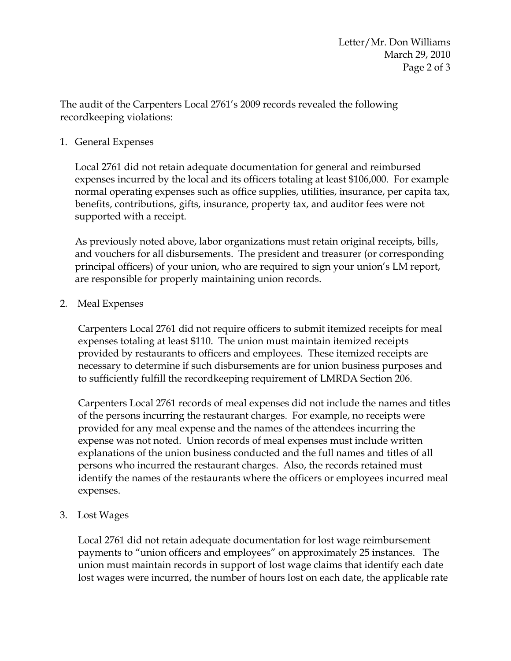The audit of the Carpenters Local 2761's 2009 records revealed the following recordkeeping violations:

### 1. General Expenses

 Local 2761 did not retain adequate documentation for general and reimbursed expenses incurred by the local and its officers totaling at least \$106,000. For example normal operating expenses such as office supplies, utilities, insurance, per capita tax, benefits, contributions, gifts, insurance, property tax, and auditor fees were not supported with a receipt.

 As previously noted above, labor organizations must retain original receipts, bills, and vouchers for all disbursements. The president and treasurer (or corresponding principal officers) of your union, who are required to sign your union's LM report, are responsible for properly maintaining union records.

## 2. Meal Expenses

Carpenters Local 2761 did not require officers to submit itemized receipts for meal expenses totaling at least \$110. The union must maintain itemized receipts provided by restaurants to officers and employees. These itemized receipts are necessary to determine if such disbursements are for union business purposes and to sufficiently fulfill the recordkeeping requirement of LMRDA Section 206.

Carpenters Local 2761 records of meal expenses did not include the names and titles of the persons incurring the restaurant charges. For example, no receipts were provided for any meal expense and the names of the attendees incurring the expense was not noted. Union records of meal expenses must include written explanations of the union business conducted and the full names and titles of all persons who incurred the restaurant charges. Also, the records retained must identify the names of the restaurants where the officers or employees incurred meal expenses.

3. Lost Wages

Local 2761 did not retain adequate documentation for lost wage reimbursement payments to "union officers and employees" on approximately 25 instances. The union must maintain records in support of lost wage claims that identify each date lost wages were incurred, the number of hours lost on each date, the applicable rate